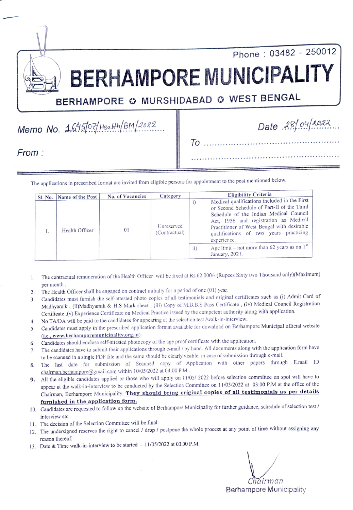Phone: 03482 - 250012

BERHAMPORE MUNICIPALIT

BERHAMPORE @ MURSHIDABAD @ WEST BENGAL

 $Memo No. 1695/07/HealH/BM/2022.$ 

To

From:

The applications in prescribed format are invited from eligible persons for appointment to the post mentioned below.

| Sl. No. Name of the Post | <b>No. of Vacancies</b> | Category                    | <b>Eligibility Criteria</b>                                                                                                                                                                                                                                                                                                                                        |  |
|--------------------------|-------------------------|-----------------------------|--------------------------------------------------------------------------------------------------------------------------------------------------------------------------------------------------------------------------------------------------------------------------------------------------------------------------------------------------------------------|--|
| Health Officer           | 0 <sub>1</sub>          | Unreserved<br>(Contractual) | Medical qualifications included in the First<br>or Second Schedule of Part-II of the Third<br>Schedule of the Indian Medical Council<br>Act, 1956 and registration as Medical<br>Practitioner of West Bengal with desirable<br>qualifications of two years practicing<br>experience.<br>Age limit – not more than 62 years as on $1^{st}$<br>11)<br>January, 2021. |  |

- 1. The contractual remuneration of the Health Officer will be fixed at Rs.62,000/- (Rupees Sixty two Thousand oniy)(Maximum)
- per month. The Health Officer shall be engaged on contract initially for a period of one (01) year.  $2.$
- Candidates must furnish the self-attested photo copies of all testimonials and original certificates such as (i) Admit Card of  $3.$ Madhyamik, (ii)Madhyamik & H.S Mark sheet , (ii) Copy of M.B.B.S Pass Certificate, (iv) Medical Council Registration Certificate,(V) Experience Certificate on Medical Practice issued by the competent authority along with application.
- 4. No TA/DA will be paid to the candidates for appearing at the selection test /walk-in-interview.
- Candidates must apply in the prescribed application format available for download on Berhampore Municipal official website 5. Candidates must apply in the prescribed application format available for download on Bernampore<br>(i.e., www.berhamporemunicipality.org.in).<br>6. Candidates should enclose self-attested photocopy of the age proof certificat
- 
- 7. The candidates have to submit their applications through e-mail / by hand. All documents along with the application form have to be scanned in a single PDF file and the same should be clearly visible, in case of submission through e-mail.
- 8. The last date for submission of Scanned copy of Application with other papers through E.mail ID chairman.berhampore@gmail.com within 10/05/2022 at 04:00 P.M.
- 9. All the eligible candidates applied or those who will apply on 11/05/ 2022 before selection committee on spot will have to appear at the walk-in-interview to be conducted by the Selection Committee on 11/05/2022 at 03:00 P.M at the ofice of the Chairman, Berhampore Municipality. They should bring original copies of all testimonials as per details furnished in the application form.
- 10. Candidates are requested to follow up the website of Berhampore Municipality for further guidance, schedule of selection test/ interview etc.
- 11. The decision of the Selection Committee will be final.
- 12. The undersigned reserves the right to cancel / drop/ postpone the whole process at any point of time without assigning any reason thereof.
- 13. Date & Time walk-in-interview to be started  $-11/05/2022$  at 03.00 P.M.

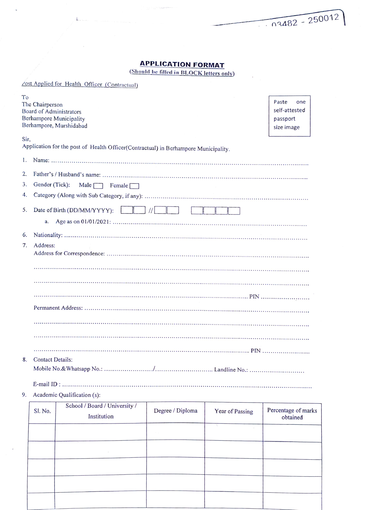## APPLICATION FORMAT

 $\overline{u}$ 

 $\mathbb{L}_{\infty}$ 

 $\sqrt{0.3482 - 250012}$ 

 $\sim$ 

(Should be filled in BLOCK letters only)

|      |                                              | Zost Applied for Health Officer (Contractual)                                       |                  |                 |                                                         |  |  |  |
|------|----------------------------------------------|-------------------------------------------------------------------------------------|------------------|-----------------|---------------------------------------------------------|--|--|--|
| To   | The Chairperson<br>Board of Administrators   | <b>Berhampore Municipality</b><br>Berhampore, Murshidabad                           |                  |                 | Paste<br>one<br>self-attested<br>passport<br>size image |  |  |  |
| Sir, |                                              | Application for the post of Health Officer(Contractual) in Berhampore Municipality. |                  |                 |                                                         |  |  |  |
| 1.   |                                              |                                                                                     |                  |                 |                                                         |  |  |  |
| 2.   |                                              |                                                                                     |                  |                 |                                                         |  |  |  |
| 3.   | Gender (Tick):<br>Male $\Box$ Female $\Box$  |                                                                                     |                  |                 |                                                         |  |  |  |
| 4.   |                                              |                                                                                     |                  |                 |                                                         |  |  |  |
| 5.   | $\frac{1}{2}$<br>Date of Birth (DD/MM/YYYY): |                                                                                     |                  |                 |                                                         |  |  |  |
|      | a.                                           |                                                                                     |                  |                 |                                                         |  |  |  |
| 6.   |                                              |                                                                                     |                  |                 |                                                         |  |  |  |
| 7.   | Address:                                     |                                                                                     |                  |                 |                                                         |  |  |  |
|      |                                              |                                                                                     |                  |                 |                                                         |  |  |  |
|      |                                              |                                                                                     |                  |                 |                                                         |  |  |  |
|      |                                              |                                                                                     |                  |                 |                                                         |  |  |  |
|      |                                              |                                                                                     |                  |                 |                                                         |  |  |  |
|      |                                              |                                                                                     |                  |                 |                                                         |  |  |  |
|      |                                              |                                                                                     |                  |                 |                                                         |  |  |  |
|      |                                              |                                                                                     |                  |                 |                                                         |  |  |  |
| 8.   | <b>Contact Details:</b>                      |                                                                                     |                  |                 |                                                         |  |  |  |
|      |                                              |                                                                                     |                  |                 |                                                         |  |  |  |
|      |                                              |                                                                                     |                  |                 |                                                         |  |  |  |
| 9.   |                                              | Academic Qualification (s):                                                         |                  |                 |                                                         |  |  |  |
|      | Sl. No.                                      | School / Board / University /<br>Institution                                        | Degree / Diploma | Year of Passing | Percentage of marks<br>obtained                         |  |  |  |
|      |                                              |                                                                                     |                  |                 |                                                         |  |  |  |